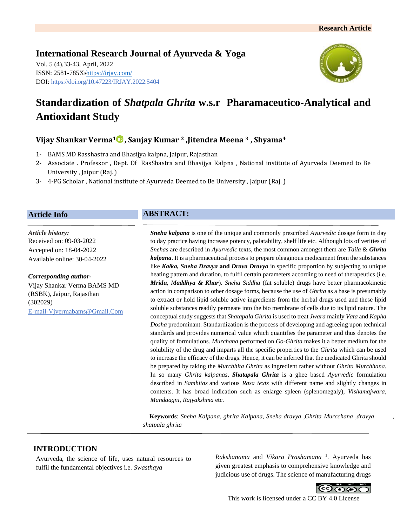**International Research Journal of Ayurveda & Yoga** Vol. 5 (4),33-43, April, 2022 ISSN: 2581-785X:https://irjay.com/ DOI: https://doi.org/10.47223/IRJAY.2022.5404



# **Standardization of** *Shatpala Ghrita* **w.s.r Pharamaceutico-Analytical and Antioxidant Study**

# **Vijay Shankar Verma<sup>1</sup> , Sanjay Kumar <sup>2</sup> ,Jitendra Meena <sup>3</sup> , Shyama<sup>4</sup>**

- 1- BAMS MD Rasshastra and Bhasijya kalpna, Jaipur, Rajasthan
- 2- Associate . Professor , Dept. Of RasShastra and Bhasijya Kalpna , National institute of Ayurveda Deemed to Be University , Jaipur (Raj. )
- 3- 4-PG Scholar , National institute of Ayurveda Deemed to Be University , Jaipur (Raj. )

#### **Article Info**

*Article history:* Received on: 09-03-2022 Accepted on: 18-04-2022 Available online: 30-04-2022

*Corresponding author-*Vijay Shankar Verma BAMS MD (RSBK), Jaipur, Rajasthan (302029) E-mail-Vjvermabams@Gmail.Com

# **ABSTRACT:**

*Sneha kalpana* is one of the unique and commonly prescribed *Ayurvedic* dosage form in day to day practice having increase potency, palatability, shelf life etc. Although lots of verities of *Snehas* are described in *Ayurvedic* texts, the most common amongst them are *Taila* & *Ghrita kalpana*. It is a pharmaceutical process to prepare oleaginous medicament from the substances like *Kalka, Sneha Dravya* **and** *Drava Dravya* in specific proportion by subjecting to unique heating pattern and duration, to fulfil certain parameters according to need of therapeutics (i.e. *Mridu, Maddhya & Khar*). *Sneha Siddha* (fat soluble) drugs have better pharmacokinetic action in comparison to other dosage forms, because the use of *Ghrita* as a base is presumably to extract or hold lipid soluble active ingredients from the herbal drugs used and these lipid soluble substances readily permeate into the bio membrane of cells due to its lipid nature. The conceptual study suggests that *Shatapala Ghrita* is used to treat *Jwara* mainly *Vata* and *Kapha Dosha* predominant. Standardization is the process of developing and agreeing upon technical standards and provides numerical value which quantifies the parameter and thus denotes the quality of formulations. *Murchana* performed on *Go-Ghrita* makes it a better medium for the solubility of the drug and imparts all the specific properties to the *Ghrita* which can be used to increase the efficacy of the drugs. Hence, it can be inferred that the medicated Ghrita should be prepared by taking the *Murchhita Ghrita* as ingredient rather without *Ghrita Murchhana.*  In so many *Ghrita kalpanas*, *Shatapala Ghrita* is a ghee based *Ayurvedic* formulation described in *Samhitas* and various *Rasa texts* with different name and slightly changes in contents. It has broad indication such as enlarge spleen (splenomegaly), *Vishamajwara, Mandaagni*, *Rajyakshma* etc.

 **Keywords**: *Sneha Kalpana, ghrita Kalpana, Sneha dravya ,Ghrita Murcchana ,dravya , shatpala ghrita*

# **INTRODUCTION**

Ayurveda, the science of life, uses natural resources to fulfil the fundamental objectives i.e. *Swasthaya* 

*Rakshanama* and *Vikara Prashamana* <sup>1</sup> . Ayurveda has given greatest emphasis to comprehensive knowledge and judicious use of drugs. The science of manufacturing drugs



This work is licensed under a CC BY 4.0 License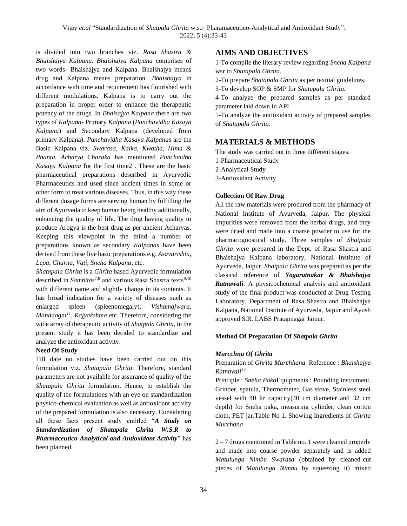is divided into two branches viz. *Rasa Shastra & Bhaishajya Kalpana*. *Bhaishajya Kalpana* comprises of two words- Bhaishajya and Kalpana. Bhaishajya means drug and Kalpana means preparation. *Bhaishajya* in accordance with time and requirement has flourished with different modulations. Kalpana is to carry out the preparation in proper order to enhance the therapeutic potency of the drugs. In *Bhaisajya Kalpana* there are two types of *Kalpana*- Primary *Kalpana* (*Panchavidha Kasaya Kalpana*) and Secondary Kalpana (developed from primary Kalpana). *Panchavidha Kasaya Kalpanas* are the Basic Kalpana viz. *Swarasa, Kalka, Kwatha, Hima & Phanta. Acharya Charaka* has mentioned *Panchvidha Kasaya Kalpana* for the first time2 . These are the basic pharmaceutical preparations described in Ayurvedic Pharmaceutics and used since ancient times in some or other form to treat various diseases. Thus, in this way these different dosage forms are serving human by fulfilling the aim of Ayurveda to keep human being healthy additionally, enhancing the quality of life. The drug having quality to produce Arogya is the best drug as per ancient Acharyas. Keeping this viewpoint in the mind a number of preparations known as secondary *Kalpanas* have been derived from these five basic preparations e.g. *Asavarishta, Lepa, Churna, Vati, Sneha Kalpana*, etc.

*Shatapala Ghrita* is a *Ghrita* based Ayurvedic formulation described in *Samhitas*<sup>7,8</sup> and various Rasa Shastra texts<sup>9,10</sup> with different name and slightly change in its contents. It has broad indication for a variety of diseases such as enlarged spleen (spleenomegaly), *Vishamajwara, Mandaagni<sup>11</sup>, Rajyakshma* etc. Therefore, considering the wide array of therapeutic activity of *Shatpala Ghrita*, in the present study it has been decided to standardize and analyze the antioxidant activity.

#### **Need Of Study**

Till date no studies have been carried out on this formulation viz. *Shatapala Ghrita*. Therefore, standard parameters are not available for assurance of quality of the *Shatapala Ghrita* formulation. Hence, to establish the quality of the formulations with an eye on standardization physico-chemical evaluation as well as antioxidant activity of the prepared formulation is also necessary. Considering all these facts present study entitled "*A Study on Standardization of Shatapala Ghrita W.S.R to Pharmaceutico-Analytical and Antioxidant Activity*" has been planned.

# **AIMS AND OBJECTIVES**

1-To compile the literary review regarding *Sneha Kalpana* wsr to *Shatapala Ghrita*.

2-To prepare *Shatapala Ghrita* as per textual guidelines.

3-To develop SOP & SMP for *Shatapala Ghrita.*

4-To analyze the prepared samples as per standard parameter laid down in API.

5-To analyze the antioxidant activity of prepared samples of *Shatapala Ghrita*.

# **MATERIALS & METHODS**

The study was carried out in three different stages. 1-Pharmaceutical Study 2-Analytical Study 3-Antioxidant Activity

# **Collection Of Raw Drug**

All the raw materials were procured from the pharmacy of National Institute of Ayurveda, Jaipur. The physical impurities were removed from the herbal drugs, and they were dried and made into a coarse powder to use for the pharmacognostical study. Three samples of *Shatpala Ghrita* were prepared in the Dept. of Rasa Shastra and Bhaishajya Kalpana laboratory, National Institute of Ayurveda, Jaipur. *Shatpala Ghrita* was prepared as per the classical reference of *Yogaratnakar & Bhaishajya Ratnawali*. A physicochemical analysis and antioxidant study of the final product was conducted at Drug Testing Laboratory, Department of Rasa Shastra and Bhaishajya Kalpana, National Institute of Ayurveda, Jaipur and Ayush approved S.R. LABS Pratapnagar Jaipur.

## **Method Of Preparation Of** *Shatpala Ghrita*

## *Murcchna Of Ghrita*

#### Preparation of *Ghrita Murchhana* Reference : *Bhaishajya Ratnavali<sup>12</sup>*

Principle : *Sneha Paka*Equipments : Pounding instrument, Grinder, spatula, Thermometer, Gas stove, Stainless steel vessel with 40 ltr capacity(40 cm diameter and 32 cm depth) for Sneha paka, measuring cylinder, clean cotton cloth, PET jar.Table No 1. Showing Ingredients of *Ghrita Murchana*

2 – 7 drugs mentioned in Table no. 1 were cleaned properly and made into coarse powder separately and is added *Matulunga Nimbu Swarasa* (obtained by cleaned-cut pieces of *Matulunga Nimbu* by squeezing it) mixed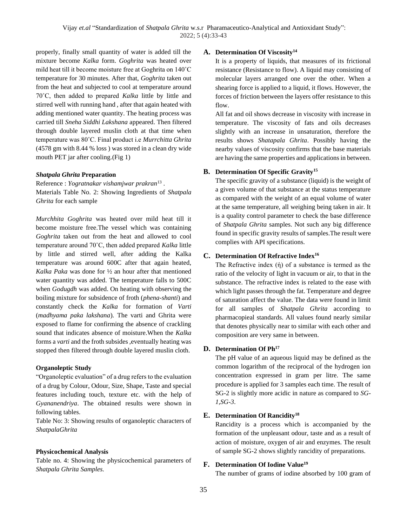properly, finally small quantity of water is added till the mixture become *Kalka* form. *Goghrita* was heated over mild heat till it become moisture free at Goghrita on 140˚C temperature for 30 minutes. After that, *Goghrita* taken out from the heat and subjected to cool at temperature around 70˚C, then added to prepared *Kalka* little by little and stirred well with running hand , after that again heated with adding mentioned water quantity. The heating process was carried till *Sneha Siddhi Lakshana* appeared. Then filtered through double layered muslin cloth at that time when temperature was 80˚C. Final product i.e *Murrchitta Ghrita* (4578 gm with 8.44 % loss ) was stored in a clean dry wide mouth PET jar after cooling.(Fig 1)

#### *Shatpala Ghrita* **Preparation**

Reference : *Yogratnakar vishamjwar prakran*<sup>13</sup> . Materials Table No. 2: Showing Ingredients of *Shatpala Ghrita* for each sample

*Murchhita Goghrita* was heated over mild heat till it become moisture free.The vessel which was containing *Goghrita* taken out from the heat and allowed to cool temperature around 70˚C, then added prepared *Kalka* little by little and stirred well, after adding the Kalka temperature was around 600C after that again heated, *Kalka Paka* was done for ½ an hour after that mentioned water quantity was added. The temperature falls to 500C when *Godugdh* was added. On heating with observing the boiling mixture for subsidence of froth (*phena-shanti*) and constantly check the *Kalka* for formation of *Varti* (*madhyama paka lakshana*). The varti and Ghrita were exposed to flame for confirming the absence of crackling sound that indicates absence of moisture.When the *Kalka* forms a *varti* and the froth subsides ,eventually heating was stopped then filtered through double layered muslin cloth.

#### **Organoleptic Study**

"Organoleptic evaluation" of a drug refers to the evaluation of a drug by Colour, Odour, Size, Shape, Taste and special features including touch, texture etc. with the help of *Gyananendriya*. The obtained results were shown in following tables.

Table No: 3: Showing results of organoleptic characters of *ShatpalaGhrita*

#### **Physicochemical Analysis**

Table no. 4: Showing the physicochemical parameters of *Shatpala Ghrita Samples.*

#### **A. Determination Of Viscosity<sup>14</sup>**

It is a property of liquids, that measures of its frictional resistance (Resistance to flow). A liquid may consisting of molecular layers arranged one over the other. When a shearing force is applied to a liquid, it flows. However, the forces of friction between the layers offer resistance to this flow.

All fat and oil shows decrease in viscosity with increase in temperature. The viscosity of fats and oils decreases slightly with an increase in unsaturation, therefore the results shows *Shatapala Ghrita*. Possibly having the nearby values of viscosity confirms that the base materials are having the same properties and applications in between.

#### **B. Determination Of Specific Gravity<sup>15</sup>**

The specific gravity of a substance (liquid) is the weight of a given volume of that substance at the status temperature as compared with the weight of an equal volume of water at the same temperature, all weighing being taken in air. It is a quality control parameter to check the base difference of *Shatpala Ghrita* samples. Not such any big difference found in specific gravity results of samples.The result were complies with API specifications.

#### **C. Determination Of Refractive Index<sup>16</sup>**

The Refractive index  $(\eta)$  of a substance is termed as the ratio of the velocity of light in vacuum or air, to that in the substance. The refractive index is related to the ease with which light passes through the fat. Temperature and degree of saturation affect the value. The data were found in limit for all samples of *Shatpala Ghrita* according to pharmacopieal standards. All values found nearly similar that denotes physically near to similar with each other and composition are very same in between.

#### **D. Determination Of Ph<sup>17</sup>**

The pH value of an aqueous liquid may be defined as the common logarithm of the reciprocal of the hydrogen ion concentration expressed in gram per litre. The same procedure is applied for 3 samples each time. The result of SG-2 is slightly more acidic in nature as compared to *SG-1,SG-3*.

#### **E. Determination Of Rancidity<sup>18</sup>**

Rancidity is a process which is accompanied by the formation of the unpleasant odour, taste and as a result of action of moisture, oxygen of air and enzymes. The result of sample SG-2 shows slightly rancidity of preparations.

## **F. Determination Of Iodine Value<sup>19</sup>**

The number of grams of iodine absorbed by 100 gram of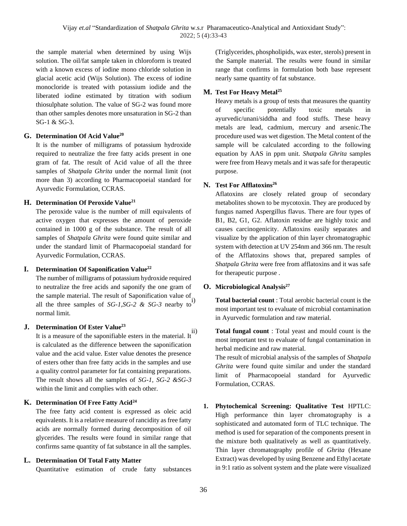the sample material when determined by using Wijs solution. The oil/fat sample taken in chloroform is treated with a known excess of iodine mono chloride solution in glacial acetic acid (Wijs Solution). The excess of iodine monocloride is treated with potassium iodide and the liberated iodine estimated by titration with sodium thiosulphate solution. The value of SG-2 was found more than other samples denotes more unsaturation in SG-2 than SG-1 & SG-3.

#### **G. Determination Of Acid Value<sup>20</sup>**

It is the number of milligrams of potassium hydroxide required to neutralize the free fatty acids present in one gram of fat. The result of Acid value of all the three samples of *Shatpala Ghrita* under the normal limit (not more than 3) according to Pharmacopoeial standard for Ayurvedic Formulation, CCRAS.

#### **H. Determination Of Peroxide Value<sup>21</sup>**

The peroxide value is the number of mill equivalents of active oxygen that expresses the amount of peroxide contained in 1000 g of the substance. The result of all samples of *Shatpala Ghrita* were found quite similar and under the standard limit of Pharmacopoeial standard for Ayurvedic Formulation, CCRAS.

#### **I. Determination Of Saponification Value<sup>22</sup>**

The number of milligrams of potassium hydroxide required to neutralize the free acids and saponify the one gram of the sample material. The result of Saponification value of all the three samples of *SG-1,SG-2 & SG-3* nearby to normal limit.

## **J. Determination Of Ester Value<sup>23</sup>**

It is a measure of the saponifiable esters in the material. It is calculated as the difference between the saponification value and the acid value. Ester value denotes the presence of esters other than free fatty acids in the samples and use a quality control parameter for fat containing preparations. The result shows all the samples of *SG-1, SG-2 &SG-3* within the limit and complies with each other.

## **K. Determination Of Free Fatty Acid<sup>24</sup>**

The free fatty acid content is expressed as oleic acid equivalents. It is a relative measure of rancidity as free fatty acids are normally formed during decomposition of oil glycerides. The results were found in similar range that confirms same quantity of fat substance in all the samples.

## **L. Determination Of Total Fatty Matter**

Quantitative estimation of crude fatty substances

(Triglycerides, phospholipids, wax ester, sterols) present in the Sample material. The results were found in similar range that confirms in formulation both base represent nearly same quantity of fat substance.

# **M. Test For Heavy Metal<sup>25</sup>**

Heavy metals is a group of tests that measures the quantity of specific potentially toxic metals in ayurvedic/unani/siddha and food stuffs. These heavy metals are lead, cadmium, mercury and arsenic.The procedure used was wet digestion. The Metal content of the sample will be calculated according to the following equation by AAS in ppm unit. *Shatpala Ghrita* samples were free from Heavy metals and it was safe for therapeutic purpose.

# **N. Test For Afflatoxins<sup>26</sup>**

Aflatoxins are closely related group of secondary metabolites shown to be mycotoxin. They are produced by fungus named Aspergillus flavus. There are four types of B1, B2, G1, G2. Aflatoxin residue are highly toxic and causes carcinogenicity. Aflatoxins easily separates and visualize by the application of thin layer chromatographic system with detection at UV 254nm and 366 nm. The result of the Afflatoxins shows that, prepared samples of *Shatpala Ghrita* were free from afflatoxins and it was safe for therapeutic purpose .

## **O. Microbiological Analysis<sup>27</sup>**

**Total bacterial count**: Total aerobic bacterial count is the most important test to evaluate of microbial contamination in Ayurvedic formulation and raw material.

**Total fungal count** : Total yeast and mould count is the most important test to evaluate of fungal contamination in herbal medicine and raw material.

The result of microbial analysis of the samples of *Shatpala Ghrita* were found quite similar and under the standard limit of Pharmacopoeial standard for Ayurvedic Formulation, CCRAS.

**1. Phytochemical Screening: Qualitative Test** HPTLC: High performance thin layer chromatography is a sophisticated and automated form of TLC technique. The method is used for separation of the components present in the mixture both qualitatively as well as quantitatively. Thin layer chromatography profile of *Ghrita* (Hexane Extract) was developed by using Benzene and Ethyl acetate in 9:1 ratio as solvent system and the plate were visualized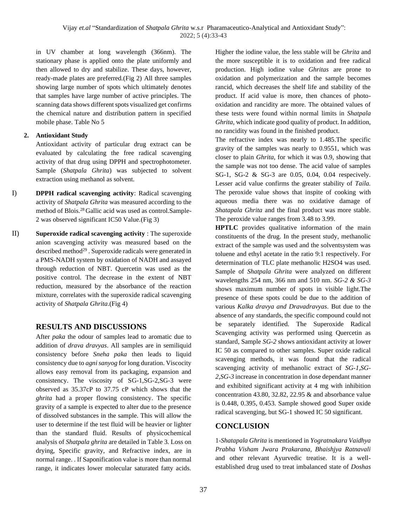in UV chamber at long wavelength (366nm). The stationary phase is applied onto the plate uniformly and then allowed to dry and stabilize. These days, however, ready-made plates are preferred.(Fig 2) All three samples showing large number of spots which ultimately denotes that samples have large number of active principles. The scanning data shows different spots visualized get confirms the chemical nature and distribution pattern in specified mobile phase. Table No 5

## **2. Antioxidant Study**

Antioxidant activity of particular drug extract can be evaluated by calculating the free radical scavenging activity of that drug using DPPH and spectrophotometer. Sample (*Shatpala Ghrita*) was subjected to solvent extraction using methanol as solvent.

- I) **DPPH radical scavenging activity**: Radical scavenging activity of *Shatpala Ghrita* was measured according to the method of Blois.28 Gallic acid was used as control.Sample-2 was observed significant IC50 Value.(Fig 3)
- II) **Superoxide radical scavenging activity** : The superoxide anion scavenging activity was measured based on the described method<sup>29</sup>. Superoxide radicals were generated in a PMS-NADH system by oxidation of NADH and assayed through reduction of NBT. Quercetin was used as the positive control. The decrease in the extent of NBT reduction, measured by the absorbance of the reaction mixture, correlates with the superoxide radical scavenging activity of *Shatpala Ghrita*.(Fig 4)

# **RESULTS AND DISCUSSIONS**

After *paka* the odour of samples lead to aromatic due to addition of *drava dravyas*. All samples are in semiliquid consistency before *Sneha paka* then leads to liquid consistency due to *agni sanyog* for long duration. Viscocity allows easy removal from its packaging, expansion and consistency. The viscosity of SG-1,SG-2,SG-3 were observed as 35.37cP to 37.75 cP which shows that the *ghrita* had a proper flowing consistency. The specific gravity of a sample is expected to alter due to the presence of dissolved substances in the sample. This will allow the user to determine if the test fluid will be heavier or lighter than the standard fluid. Results of physicochemical analysis of *Shatpala ghrita* are detailed in Table 3. Loss on drying, Specific gravity, and Refractive index, are in normal range. . If Saponification value is more than normal range, it indicates lower molecular saturated fatty acids.

Higher the iodine value, the less stable will be *Ghrita* and the more susceptible it is to oxidation and free radical production. High iodine value *Ghritas* are prone to oxidation and polymerization and the sample becomes rancid, which decreases the shelf life and stability of the product. If acid value is more, then chances of photooxidation and rancidity are more. The obtained values of these tests were found within normal limits in *Shatpala Ghrita*, which indicate good quality of product. In addition, no rancidity was found in the finished product.

The refractive index was nearly to 1.485.The specific gravity of the samples was nearly to 0.9551, which was closer to plain *Ghrita*, for which it was 0.9, showing that the sample was not too dense. The acid value of samples SG-1, SG-2 & SG-3 are 0.05, 0.04, 0.04 respecively. Lesser acid value confirms the greater stability of *Taila.* The peroxide value shows that inspite of cooking with aqueous media there was no oxidative damage of *Shatapala Ghrita* and the final product was more stable. The peroxide value ranges from 3.48 to 3.99.

**HPTLC** provides qualitative information of the main constituents of the drug. In the present study, methanolic extract of the sample was used and the solventsystem was toluene and ethyl acetate in the ratio 9:1 respectively. For determination of TLC plate methanolic H2SO4 was used. Sample of *Shatpala Ghrita* were analyzed on different wavelengths 254 nm, 366 nm and 510 nm. *SG-2 & SG-3* shows maximum number of spots in visible light.The presence of these spots could be due to the addition of various *Kalka dravya and Dravadravyas*. But due to the absence of any standards, the specific compound could not be separately identified. The Superoxide Radical Scavenging activity was performed using Quercetin as standard, Sample *SG-2* shows antioxidant activity at lower IC 50 as compared to other samples. Super oxide radical scavenging methods, it was found that the radical scavenging activity of methanolic extract of *SG-1,SG-2,SG-3* increase in concentration in dose dependant manner and exhibited significant activity at 4 mg with inhibition concentration 43.80, 32.82, 22.95 & and absorbance value is 0.448, 0.395, 0.453. Sample showed good Super oxide radical scavenging, but SG-1 showed IC 50 significant.

# **CONCLUSION**

1-*Shatapala Ghrita* is mentioned in *Yogratnakara Vaidhya Prabha Visham Jwara Prakarana, Bhaishjya Ratnavali* and other relevant Ayurvedic treatise. It is a wellestablished drug used to treat imbalanced state of *Doshas*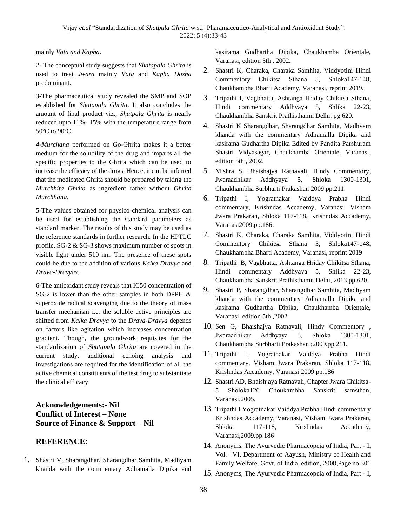mainly *Vata and Kapha*.

2- The conceptual study suggests that *Shatapala Ghrita* is used to treat *Jwara* mainly *Vata* and *Kapha Dosha* predominant.

3-The pharmaceutical study revealed the SMP and SOP established for *Shatapala Ghrita*. It also concludes the amount of final product viz., *Shatpala Ghrita* is nearly reduced upto 11%- 15% with the temperature range from 50°C to 90°C.

*4-Murchana* performed on Go-Ghrita makes it a better medium for the solubility of the drug and imparts all the specific properties to the Ghrita which can be used to increase the efficacy of the drugs. Hence, it can be inferred that the medicated Ghrita should be prepared by taking the *Murchhita Ghrita* as ingredient rather without *Ghrita Murchhana*.

5-The values obtained for physico-chemical analysis can be used for establishing the standard parameters as standard marker. The results of this study may be used as the reference standards in further research. In the HPTLC profile, SG-2 & SG-3 shows maximum number of spots in visible light under 510 nm. The presence of these spots could be due to the addition of various *Kalka Dravya* and *Drava-Dravyas*.

6-The antioxidant study reveals that IC50 concentration of SG-2 is lower than the other samples in both DPPH & superoxide radical scavenging due to the theory of mass transfer mechanism i.e. the soluble active principles are shifted from *Kalka Dravya* to the *Drava-Dravya* depends on factors like agitation which increases concentration gradient. Though, the groundwork requisites for the standardization of *Shatapala Ghrita* are covered in the current study, additional echoing analysis and investigations are required for the identification of all the active chemical constituents of the test drug to substantiate the clinical efficacy.

# **Acknowledgements:- Nil Conflict of Interest – None Source of Finance & Support – Nil**

# **REFERENCE:**

1. Shastri V, Sharangdhar, Sharangdhar Samhita, Madhyam khanda with the commentary Adhamalla Dipika and

kasirama Gudhartha Dipika, Chaukhamba Orientale, Varanasi, edition 5th , 2002.

- 2. Shastri K, Charaka, Charaka Samhita, Viddyotini Hindi Commentory Chikitsa Sthana 5, Shloka147-148, Chaukhambha Bharti Academy, Varanasi, reprint 2019.
- 3. Tripathi I, Vagbhatta, Ashtanga Hriday Chikitsa Sthana, Hindi commentary Addhyaya 5, Shlika 22-23, Chaukhambha Sanskrit Prathisthamn Delhi, pg 620.
- 4. Shastri K Sharangdhar, Sharangdhar Samhita, Madhyam khanda with the commentary Adhamalla Dipika and kasirama Gudhartha Dipika Edited by Pandita Parshuram Shastri Vidyasagar, Chaukhamba Orientale, Varanasi, edition 5th , 2002.
- 5. Mishra S, Bhaishajya Ratnavali, Hindy Commentory, Jwaraadhikar Addhyaya 5, Shloka 1300-1301, Chaukhambha Surbharti Prakashan 2009.pp.211.
- 6. Tripathi I, Yogratnakar Vaiddya Prabha Hindi commentary, Krishndas Accademy, Varanasi, Visham Jwara Prakaran, Shloka 117-118, Krishndas Accademy, Varanasi2009.pp.186.
- 7. Shastri K, Charaka, Charaka Samhita, Viddyotini Hindi Commentory Chikitsa Sthana 5, Shloka147-148, Chaukhambha Bharti Academy, Varanasi, reprint 2019
- 8. Tripathi B, Vagbhatta, Ashtanga Hriday Chikitsa Sthana, Hindi commentary Addhyaya 5, Shlika 22-23, Chaukhambha Sanskrit Prathisthamn Delhi, 2013.pp.620.
- 9. Shastri P, Sharangdhar, Sharangdhar Samhita, Madhyam khanda with the commentary Adhamalla Dipika and kasirama Gudhartha Dipika, Chaukhamba Orientale, Varanasi, edition 5th ,2002
- 10. Sen G, Bhaishajya Ratnavali, Hindy Commentory , Jwaraadhikar Addhyaya 5, Shloka 1300-1301, Chaukhambha Surbharti Prakashan ;2009.pp.211.
- 11. Tripathi I, Yogratnakar Vaiddya Prabha Hindi commentary, Visham Jwara Prakaran, Shloka 117-118, Krishndas Accademy, Varanasi 2009.pp.186
- 12. Shastri AD, Bhaishjaya Ratnavali, Chapter Jwara Chikitsa-5 Sholoka126 Choukambha Sanskrit samsthan, Varanasi.2005.
- 13. Tripathi I Yogratnakar Vaiddya Prabha Hindi commentary Krishndas Accademy, Varanasi, Visham Jwara Prakaran, Shloka 117-118, Krishndas Accademy, Varanasi,2009.pp.186
- 14. Anonyms, The Ayurvedic Pharmacopeia of India, Part I, Vol. –VI, Department of Aayush, Ministry of Health and Family Welfare, Govt. of India, edition, 2008,Page no.301
- 15. Anonyms, The Ayurvedic Pharmacopeia of India, Part I,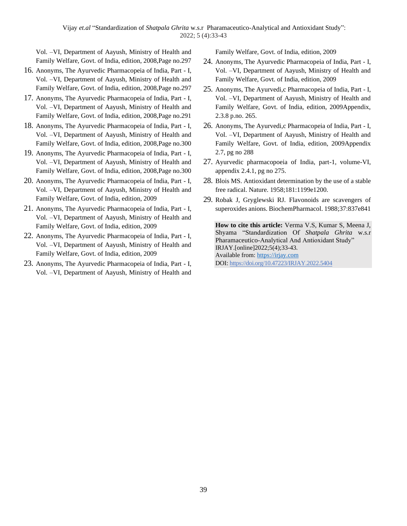Vol. –VI, Department of Aayush, Ministry of Health and Family Welfare, Govt. of India, edition, 2008,Page no.297

- 16. Anonyms, The Ayurvedic Pharmacopeia of India, Part I, Vol. –VI, Department of Aayush, Ministry of Health and Family Welfare, Govt. of India, edition, 2008,Page no.297
- 17. Anonyms, The Ayurvedic Pharmacopeia of India, Part I, Vol. –VI, Department of Aayush, Ministry of Health and Family Welfare, Govt. of India, edition, 2008,Page no.291
- 18. Anonyms, The Ayurvedic Pharmacopeia of India, Part I, Vol. –VI, Department of Aayush, Ministry of Health and Family Welfare, Govt. of India, edition, 2008,Page no.300
- 19. Anonyms, The Ayurvedic Pharmacopeia of India, Part I, Vol. –VI, Department of Aayush, Ministry of Health and Family Welfare, Govt. of India, edition, 2008,Page no.300
- 20. Anonyms, The Ayurvedic Pharmacopeia of India, Part I, Vol. –VI, Department of Aayush, Ministry of Health and Family Welfare, Govt. of India, edition, 2009
- 21. Anonyms, The Ayurvedic Pharmacopeia of India, Part I, Vol. –VI, Department of Aayush, Ministry of Health and Family Welfare, Govt. of India, edition, 2009
- 22. Anonyms, The Ayurvedic Pharmacopeia of India, Part I, Vol. –VI, Department of Aayush, Ministry of Health and Family Welfare, Govt. of India, edition, 2009
- 23. Anonyms, The Ayurvedic Pharmacopeia of India, Part I, Vol. –VI, Department of Aayush, Ministry of Health and

Family Welfare, Govt. of India, edition, 2009

- 24. Anonyms, The Ayurvedic Pharmacopeia of India, Part I, Vol. –VI, Department of Aayush, Ministry of Health and Family Welfare, Govt. of India, edition, 2009
- 25. Anonyms, The Ayurvedi,c Pharmacopeia of India, Part I, Vol. –VI, Department of Aayush, Ministry of Health and Family Welfare, Govt. of India, edition, 2009Appendix, 2.3.8 p.no. 265.
- 26. Anonyms, The Ayurvedi,c Pharmacopeia of India, Part I, Vol. –VI, Department of Aayush, Ministry of Health and Family Welfare, Govt. of India, edition, 2009Appendix 2.7, pg no 288
- 27. Ayurvedic pharmacopoeia of India, part-1, volume-VI, appendix 2.4.1, pg no 275.
- 28. Blois MS. Antioxidant determination by the use of a stable free radical. Nature. 1958;181:1199e1200.
- 29. Robak J, Gryglewski RJ. Flavonoids are scavengers of superoxides anions. BiochemPharmacol. 1988;37:837e841

**How to cite this article:** Verma V.S, Kumar S, Meena J, Shyama "Standardization Of *Shatpala Ghrita* w.s.r Pharamaceutico-Analytical And Antioxidant Study" IRJAY.[online]2022;5(4);33-43. Available from: [https://irjay.com](https://irjay.com/) DOI: https://doi.org/10.47223/IRJAY.2022.5404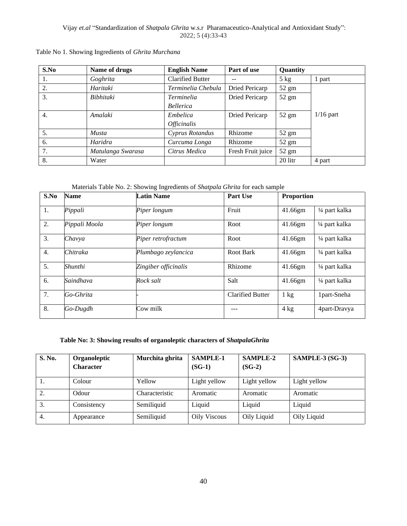| S.No | Name of drugs     | <b>English Name</b>       | Part of use       | Quantity        |             |
|------|-------------------|---------------------------|-------------------|-----------------|-------------|
| 1.   | Goghrita          | <b>Clarified Butter</b>   |                   | $5$ kg          | 1 part      |
| 2.   | Haritaki          | Terminelia Chebula        | Dried Pericarp    | $52 \text{ gm}$ |             |
| 3.   | Bibhitaki         | <i>Terminelia</i>         | Dried Pericarp    | $52 \text{ gm}$ |             |
|      |                   | <b>Bellerica</b>          |                   |                 |             |
| 4.   | Amalaki           | Embelica                  | Dried Pericarp    | $52 \text{ gm}$ | $1/16$ part |
|      |                   | <i><b>Officinalis</b></i> |                   |                 |             |
| 5.   | <b>Musta</b>      | Cyprus Rotandus           | Rhizome           | $52 \text{ gm}$ |             |
| 6.   | Haridra           | Curcuma Longa             | Rhizome           | $52 \text{ gm}$ |             |
| 7.   | Matulanga Swarasa | Citrus Medica             | Fresh Fruit juice | $52 \text{ gm}$ |             |
| 8.   | Water             |                           |                   | 20 litr         | 4 part      |

#### Table No 1. Showing Ingredients of *Ghrita Murchana*

Materials Table No. 2: Showing Ingredients of *Shatpala Ghrita* for each sample

| S.No             | Name          | <b>Latin Name</b>    | Part Use                | <b>Proportion</b> |                |
|------------------|---------------|----------------------|-------------------------|-------------------|----------------|
| 1.               | Pippali       | Piper longum         | Fruit                   | 41.66gm           | 1/4 part kalka |
| 2.               | Pippali Moola | Piper longum         | Root                    | 41.66gm           | 1/4 part kalka |
| 3.               | Chavya        | Piper retrofractum   | Root                    | 41.66gm           | 1/4 part kalka |
| $\overline{4}$ . | Chitraka      | Plumbago zeylancica  | Root Bark               | 41.66gm           | 1/4 part kalka |
| 5.               | Shunthi       | Zingiber officinalis | Rhizome                 | 41.66gm           | 1/4 part kalka |
| 6.               | Saindhava     | Rock salt            | Salt                    | $41.66$ gm        | 1/4 part kalka |
| 7.               | Go-Ghrita     |                      | <b>Clarified Butter</b> | $1 \text{ kg}$    | 1part-Sneha    |
| 8.               | Go-Dugdh      | Cow milk             |                         | $4 \text{ kg}$    | 4part-Dravya   |

#### **Table No: 3: Showing results of organoleptic characters of** *ShatpalaGhrita*

| S. No. | Organoleptic<br><b>Character</b> | Murchita ghrita | <b>SAMPLE-1</b><br>$(SG-1)$ | <b>SAMPLE-2</b><br>$(SG-2)$ | $SAMPLE-3(SG-3)$ |
|--------|----------------------------------|-----------------|-----------------------------|-----------------------------|------------------|
|        | Colour                           | Yellow          | Light yellow                | Light yellow                | Light yellow     |
| 2.     | Odour                            | Characteristic  | Aromatic                    | Aromatic                    | Aromatic         |
| 3.     | Consistency                      | Semiliquid      | Liquid                      | Liquid                      | Liquid           |
| 4.     | Appearance                       | Semiliquid      | <b>Oily Viscous</b>         | Oily Liquid                 | Oily Liquid      |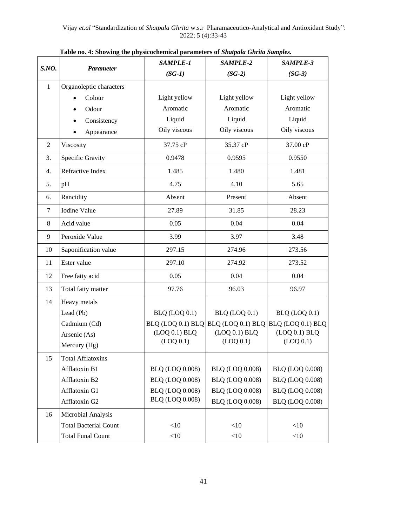| S.NO.        | <b>Parameter</b>             | SAMPLE-1                   | SAMPLE-2                   | SAMPLE-3                                              |
|--------------|------------------------------|----------------------------|----------------------------|-------------------------------------------------------|
|              |                              | $(SG-1)$                   | $(SG-2)$                   | $(SG-3)$                                              |
| $\mathbf{1}$ | Organoleptic characters      |                            |                            |                                                       |
|              | Colour                       | Light yellow               | Light yellow               | Light yellow                                          |
|              | Odour                        | Aromatic                   | Aromatic                   | Aromatic                                              |
|              | Consistency                  | Liquid                     | Liquid                     | Liquid                                                |
|              | Appearance                   | Oily viscous               | Oily viscous               | Oily viscous                                          |
| 2            | Viscosity                    | 37.75 cP                   | 35.37 cP                   | 37.00 cP                                              |
| 3.           | Specific Gravity             | 0.9478                     | 0.9595                     | 0.9550                                                |
| 4.           | Refractive Index             | 1.485                      | 1.480                      | 1.481                                                 |
| 5.           | pH                           | 4.75                       | 4.10                       | 5.65                                                  |
| 6.           | Rancidity                    | Absent                     | Present                    | Absent                                                |
| 7            | Iodine Value                 | 27.89                      | 31.85                      | 28.23                                                 |
| 8            | Acid value                   | 0.05                       | 0.04                       | 0.04                                                  |
| 9            | Peroxide Value               | 3.99                       | 3.97                       | 3.48                                                  |
| 10           | Saponification value         | 297.15                     | 274.96                     | 273.56                                                |
| 11           | Ester value                  | 297.10                     | 274.92                     | 273.52                                                |
| 12           | Free fatty acid              | 0.05                       | 0.04                       | 0.04                                                  |
| 13           | Total fatty matter           | 97.76                      | 96.03                      | 96.97                                                 |
| 14           | Heavy metals                 |                            |                            |                                                       |
|              | Lead (Pb)                    | BLQ (LOQ 0.1)              | BLQ (LOQ 0.1)              | BLQ (LOQ 0.1)                                         |
|              | Cadmium (Cd)                 |                            |                            | BLQ (LOQ 0.1) BLQ BLQ (LOQ 0.1) BLQ BLQ (LOQ 0.1) BLQ |
|              | Arsenic (As)                 | (LOQ 0.1) BLQ<br>(LOQ 0.1) | (LOQ 0.1) BLQ<br>(LOQ 0.1) | (LOQ 0.1) BLQ<br>(LOQ 0.1)                            |
|              | Mercury (Hg)                 |                            |                            |                                                       |
| 15           | <b>Total Afflatoxins</b>     |                            |                            |                                                       |
|              | Afflatoxin B1                | <b>BLQ (LOQ 0.008)</b>     | <b>BLQ (LOQ 0.008)</b>     | <b>BLQ (LOQ 0.008)</b>                                |
|              | Afflatoxin B2                | <b>BLQ (LOQ 0.008)</b>     | <b>BLQ (LOQ 0.008)</b>     | <b>BLQ (LOQ 0.008)</b>                                |
|              | Afflatoxin G1                | <b>BLQ (LOQ 0.008)</b>     | <b>BLQ (LOQ 0.008)</b>     | <b>BLQ (LOQ 0.008)</b>                                |
|              | Afflatoxin G2                | <b>BLQ (LOQ 0.008)</b>     | <b>BLQ (LOQ 0.008)</b>     | <b>BLQ (LOQ 0.008)</b>                                |
| 16           | Microbial Analysis           |                            |                            |                                                       |
|              | <b>Total Bacterial Count</b> | <10                        | $<$ 10                     | <10                                                   |
|              | <b>Total Funal Count</b>     | <10                        | $<$ 10                     | <10                                                   |

**Table no. 4: Showing the physicochemical parameters of** *Shatpala Ghrita Samples.*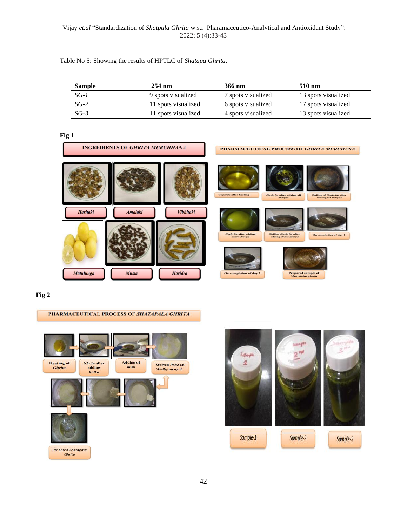## Vijay *et.al* "Standardization of *Shatpala Ghrita* w.s.r Pharamaceutico-Analytical and Antioxidant Study": 2022; 5 (4):33-43

Table No 5: Showing the results of HPTLC of *Shatapa Ghrita*.

| <b>Sample</b> | $254 \text{ nm}$    | 366 nm             | 510 nm              |
|---------------|---------------------|--------------------|---------------------|
| $SG-1$        | 9 spots visualized  | 7 spots visualized | 13 spots visualized |
| $SG-2$        | 11 spots visualized | 6 spots visualized | 17 spots visualized |
| SG-3          | 11 spots visualized | 4 spots visualized | 13 spots visualized |

# **Fig 1**



## **Fig 2**

#### PHARMACEUTICAL PROCESS OF SHATAPALA GHRITA